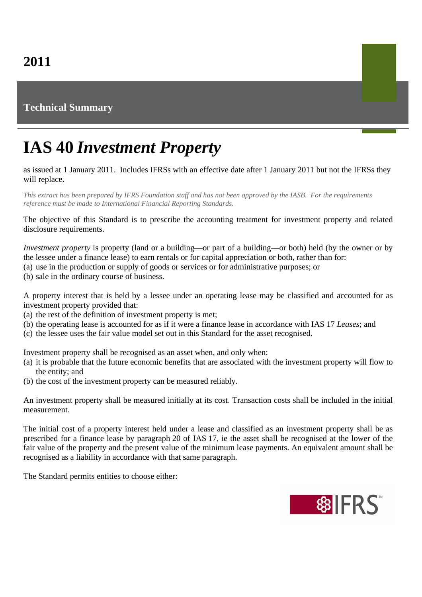## **Technical Summary**

## **IAS 40** *Investment Property*

## as issued at 1 January 2011. Includes IFRSs with an effective date after 1 January 2011 but not the IFRSs they will replace.

*This extract has been prepared by IFRS Foundation staff and has not been approved by the IASB. For the requirements reference must be made to International Financial Reporting Standards.*

The objective of this Standard is to prescribe the accounting treatment for investment property and related disclosure requirements.

*Investment property* is property (land or a building—or part of a building—or both) held (by the owner or by the lessee under a finance lease) to earn rentals or for capital appreciation or both, rather than for:

- (a) use in the production or supply of goods or services or for administrative purposes; or
- (b) sale in the ordinary course of business.

A property interest that is held by a lessee under an operating lease may be classified and accounted for as investment property provided that:

- (a) the rest of the definition of investment property is met;
- (b) the operating lease is accounted for as if it were a finance lease in accordance with IAS 17 *Leases*; and
- (c) the lessee uses the fair value model set out in this Standard for the asset recognised.

Investment property shall be recognised as an asset when, and only when:

- (a) it is probable that the future economic benefits that are associated with the investment property will flow to the entity; and
- (b) the cost of the investment property can be measured reliably.

An investment property shall be measured initially at its cost. Transaction costs shall be included in the initial measurement.

The initial cost of a property interest held under a lease and classified as an investment property shall be as prescribed for a finance lease by paragraph 20 of IAS 17, ie the asset shall be recognised at the lower of the fair value of the property and the present value of the minimum lease payments. An equivalent amount shall be recognised as a liability in accordance with that same paragraph.

The Standard permits entities to choose either: